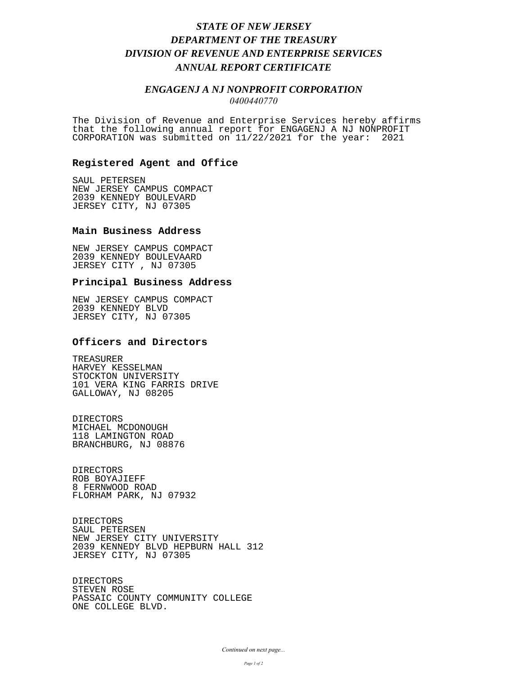# *STATE OF NEW JERSEY DEPARTMENT OF THE TREASURY DIVISION OF REVENUE AND ENTERPRISE SERVICES ANNUAL REPORT CERTIFICATE*

## *ENGAGENJ A NJ NONPROFIT CORPORATION 0400440770*

The Division of Revenue and Enterprise Services hereby affirms that the following annual report for ENGAGENJ A NJ NONPROFIT CORPORATION was submitted on 11/22/2021 for the year: 2021

#### **Registered Agent and Office**

SAUL PETERSEN NEW JERSEY CAMPUS COMPACT 2039 KENNEDY BOULEVARD JERSEY CITY, NJ 07305

#### **Main Business Address**

NEW JERSEY CAMPUS COMPACT 2039 KENNEDY BOULEVAARD JERSEY CITY , NJ 07305

### **Principal Business Address**

NEW JERSEY CAMPUS COMPACT 2039 KENNEDY BLVD JERSEY CITY, NJ 07305

### **Officers and Directors**

TREASURER HARVEY KESSELMAN STOCKTON UNIVERSITY 101 VERA KING FARRIS DRIVE GALLOWAY, NJ 08205

DIRECTORS MICHAEL MCDONOUGH 118 LAMINGTON ROAD BRANCHBURG, NJ 08876

DIRECTORS ROB BOYAJIEFF 8 FERNWOOD ROAD FLORHAM PARK, NJ 07932

DIRECTORS SAUL PETERSEN NEW JERSEY CITY UNIVERSITY 2039 KENNEDY BLVD HEPBURN HALL 312 JERSEY CITY, NJ 07305

DIRECTORS STEVEN ROSE PASSAIC COUNTY COMMUNITY COLLEGE ONE COLLEGE BLVD.